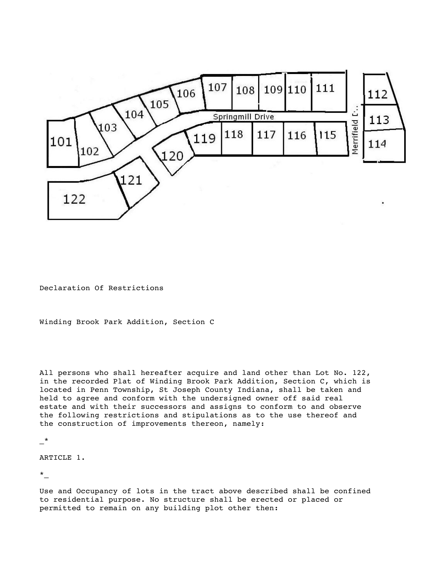

Declaration Of Restrictions

Winding Brook Park Addition, Section C

All persons who shall hereafter acquire and land other than Lot No. 122, in the recorded Plat of Winding Brook Park Addition, Section C, which is located in Penn Township, St Joseph County Indiana, shall be taken and held to agree and conform with the undersigned owner off said real estate and with their successors and assigns to conform to and observe the following restrictions and stipulations as to the use thereof and the construction of improvements thereon, namely:

\_\*

## ARTICLE 1.

\*\_

Use and Occupancy of lots in the tract above described shall be confined to residential purpose. No structure shall be erected or placed or permitted to remain on any building plot other then: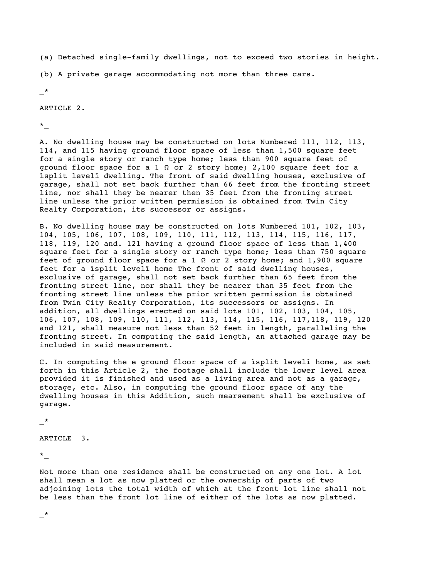(a) Detached single-family dwellings, not to exceed two stories in height.

(b) A private garage accommodating not more than three cars.

\_\*

ARTICLE 2.

\*\_

A. No dwelling house may be constructed on lots Numbered 111, 112, 113, 114, and 115 having ground floor space of less than 1,500 square feet for a single story or ranch type home; less than 900 square feet of ground floor space for a 1  $\Omega$  or 2 story home; 2,100 square feet for a ìsplit levelî dwelling. The front of said dwelling houses, exclusive of garage, shall not set back further than 66 feet from the fronting street line, nor shall they be nearer then 35 feet from the fronting street line unless the prior written permission is obtained from Twin City Realty Corporation, its successor or assigns.

B. No dwelling house may be constructed on lots Numbered 101, 102, 103, 104, 105, 106, 107, 108, 109, 110, 111, 112, 113, 114, 115, 116, 117, 118, 119, 120 and. 121 having a ground floor space of less than 1,400 square feet for a single story or ranch type home; less than 750 square feet of ground floor space for a 1  $\Omega$  or 2 story home; and 1,900 square feet for a ìsplit levelî home The front of said dwelling houses, exclusive of garage, shall not set back further than 65 feet from the fronting street line, nor shall they be nearer than 35 feet from the fronting street line unless the prior written permission is obtained from Twin City Realty Corporation, its successors or assigns. In addition, all dwellings erected on said lots 101, 102, 103, 104, 105, 106, 107, 108, 109, 110, 111, 112, 113, 114, 115, 116, 117,118, 119, 120 and 121, shall measure not less than 52 feet in length, paralleling the fronting street. In computing the said length, an attached garage may be included in said measurement.

C. In computing the e ground floor space of a ìsplit levelî home, as set forth in this Article 2, the footage shall include the lower level area provided it is finished and used as a living area and not as a garage, storage, etc. Also, in computing the ground floor space of any the dwelling houses in this Addition, such mearsement shall be exclusive of garage.

\_\*

ARTICLE 3.

\*\_

Not more than one residence shall be constructed on any one lot. A lot shall mean a lot as now platted or the ownership of parts of two adjoining lots the total width of which at the front lot line shall not be less than the front lot line of either of the lots as now platted.

\_\*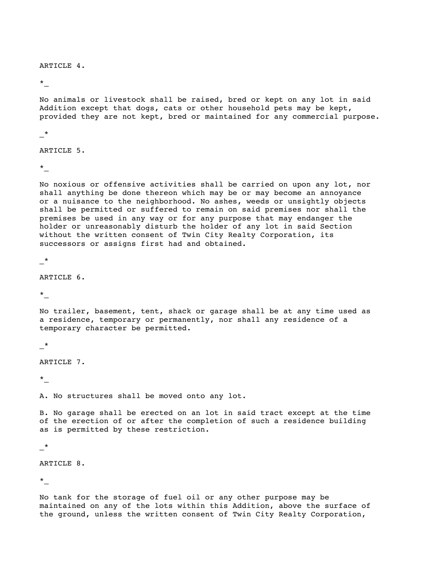## ARTICLE 4.

\*\_

No animals or livestock shall be raised, bred or kept on any lot in said Addition except that dogs, cats or other household pets may be kept, provided they are not kept, bred or maintained for any commercial purpose.

\_\*

ARTICLE 5.

 $\star$ 

No noxious or offensive activities shall be carried on upon any lot, nor shall anything be done thereon which may be or may become an annoyance or a nuisance to the neighborhood. No ashes, weeds or unsightly objects shall be permitted or suffered to remain on said premises nor shall the premises be used in any way or for any purpose that may endanger the holder or unreasonably disturb the holder of any lot in said Section without the written consent of Twin City Realty Corporation, its successors or assigns first had and obtained.

\_\*

ARTICLE 6.

\*\_

No trailer, basement, tent, shack or garage shall be at any time used as a residence, temporary or permanently, nor shall any residence of a temporary character be permitted.

 $\star$ 

ARTICLE 7.

 $\star$ 

A. No structures shall be moved onto any lot.

B. No garage shall be erected on an lot in said tract except at the time of the erection of or after the completion of such a residence building as is permitted by these restriction.

\_\*

ARTICLE 8.

\*\_

No tank for the storage of fuel oil or any other purpose may be maintained on any of the lots within this Addition, above the surface of the ground, unless the written consent of Twin City Realty Corporation,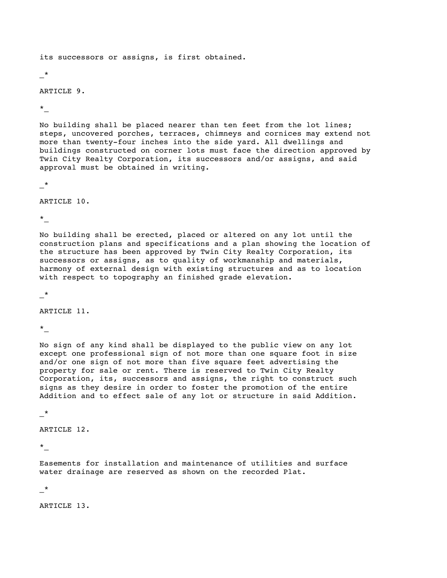its successors or assigns, is first obtained.

 $*$ 

## ARTICLE 9.

\*\_

No building shall be placed nearer than ten feet from the lot lines; steps, uncovered porches, terraces, chimneys and cornices may extend not more than twenty-four inches into the side yard. All dwellings and buildings constructed on corner lots must face the direction approved by Twin City Realty Corporation, its successors and/or assigns, and said approval must be obtained in writing.

\_\*

ARTICLE 10.

 $\star$ 

No building shall be erected, placed or altered on any lot until the construction plans and specifications and a plan showing the location of the structure has been approved by Twin City Realty Corporation, its successors or assigns, as to quality of workmanship and materials, harmony of external design with existing structures and as to location with respect to topography an finished grade elevation.

\_\*

ARTICLE 11.

 $\star$ 

No sign of any kind shall be displayed to the public view on any lot except one professional sign of not more than one square foot in size and/or one sign of not more than five square feet advertising the property for sale or rent. There is reserved to Twin City Realty Corporation, its, successors and assigns, the right to construct such signs as they desire in order to foster the promotion of the entire Addition and to effect sale of any lot or structure in said Addition.

\_\*

ARTICLE 12.

\*\_

Easements for installation and maintenance of utilities and surface water drainage are reserved as shown on the recorded Plat.

\_\*

ARTICLE 13.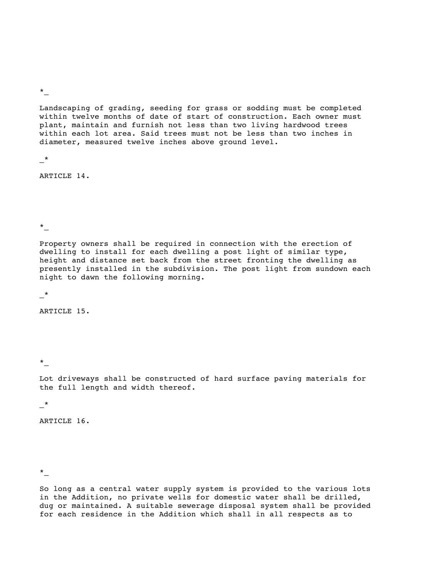\*\_

Landscaping of grading, seeding for grass or sodding must be completed within twelve months of date of start of construction. Each owner must plant, maintain and furnish not less than two living hardwood trees within each lot area. Said trees must not be less than two inches in diameter, measured twelve inches above ground level.

\_\*

ARTICLE 14.

\*\_

Property owners shall be required in connection with the erection of dwelling to install for each dwelling a post light of similar type, height and distance set back from the street fronting the dwelling as presently installed in the subdivision. The post light from sundown each night to dawn the following morning.

\_\*

ARTICLE 15.

\*\_

Lot driveways shall be constructed of hard surface paving materials for the full length and width thereof.

\_\*

ARTICLE 16.

\*\_

So long as a central water supply system is provided to the various lots in the Addition, no private wells for domestic water shall be drilled, dug or maintained. A suitable sewerage disposal system shall be provided for each residence in the Addition which shall in all respects as to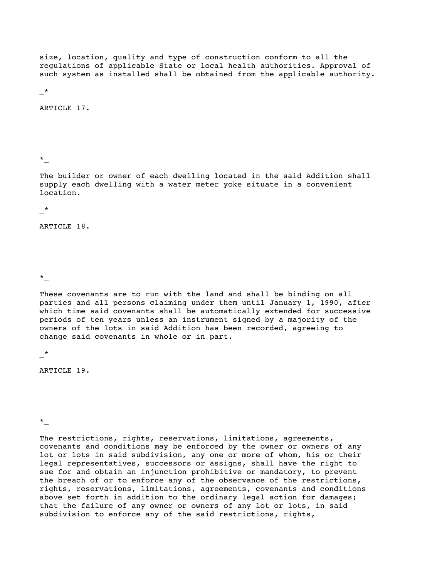size, location, quality and type of construction conform to all the regulations of applicable State or local health authorities. Approval of such system as installed shall be obtained from the applicable authority.

\_\*

ARTICLE 17.

\*\_

The builder or owner of each dwelling located in the said Addition shall supply each dwelling with a water meter yoke situate in a convenient location.

 $\star$ 

ARTICLE 18.

\*\_

These covenants are to run with the land and shall be binding on all parties and all persons claiming under them until January 1, 1990, after which time said covenants shall be automatically extended for successive periods of ten years unless an instrument signed by a majority of the owners of the lots in said Addition has been recorded, agreeing to change said covenants in whole or in part.

\_\*

ARTICLE 19.

\*\_

The restrictions, rights, reservations, limitations, agreements, covenants and conditions may be enforced by the owner or owners of any lot or lots in said subdivision, any one or more of whom, his or their legal representatives, successors or assigns, shall have the right to sue for and obtain an injunction prohibitive or mandatory, to prevent the breach of or to enforce any of the observance of the restrictions, rights, reservations, limitations, agreements, covenants and conditions above set forth in addition to the ordinary legal action for damages; that the failure of any owner or owners of any lot or lots, in said subdivision to enforce any of the said restrictions, rights,